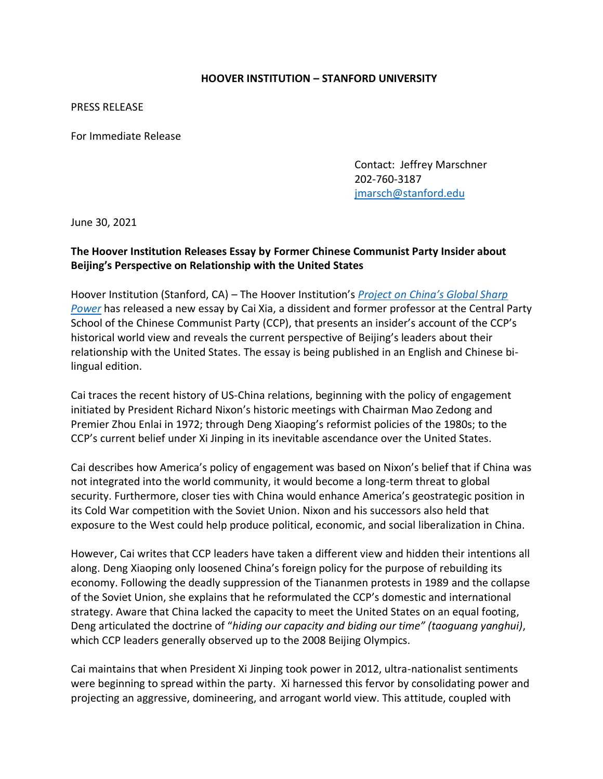## **HOOVER INSTITUTION – STANFORD UNIVERSITY**

PRESS RELEASE

For Immediate Release

Contact: Jeffrey Marschner 202-760-3187 [jmarsch@stanford.edu](mailto:jmarsch@stanford.edu)

June 30, 2021

## **The Hoover Institution Releases Essay by Former Chinese Communist Party Insider about Beijing's Perspective on Relationship with the United States**

Hoover Institution (Stanford, CA) – The Hoover Institution's *[Project on China's Global Sharp](https://www.hoover.org/research-teams/chinas-global-sharp-power-project)  [Power](https://www.hoover.org/research-teams/chinas-global-sharp-power-project)* has released a new essay by Cai Xia, a dissident and former professor at the Central Party School of the Chinese Communist Party (CCP), that presents an insider's account of the CCP's historical world view and reveals the current perspective of Beijing's leaders about their relationship with the United States. The essay is being published in an English and Chinese bilingual edition.

Cai traces the recent history of US-China relations, beginning with the policy of engagement initiated by President Richard Nixon's historic meetings with Chairman Mao Zedong and Premier Zhou Enlai in 1972; through Deng Xiaoping's reformist policies of the 1980s; to the CCP's current belief under Xi Jinping in its inevitable ascendance over the United States.

Cai describes how America's policy of engagement was based on Nixon's belief that if China was not integrated into the world community, it would become a long-term threat to global security. Furthermore, closer ties with China would enhance America's geostrategic position in its Cold War competition with the Soviet Union. Nixon and his successors also held that exposure to the West could help produce political, economic, and social liberalization in China.

However, Cai writes that CCP leaders have taken a different view and hidden their intentions all along. Deng Xiaoping only loosened China's foreign policy for the purpose of rebuilding its economy. Following the deadly suppression of the Tiananmen protests in 1989 and the collapse of the Soviet Union, she explains that he reformulated the CCP's domestic and international strategy. Aware that China lacked the capacity to meet the United States on an equal footing, Deng articulated the doctrine of "*hiding our capacity and biding our time" (taoguang yanghui)*, which CCP leaders generally observed up to the 2008 Beijing Olympics.

Cai maintains that when President Xi Jinping took power in 2012, ultra-nationalist sentiments were beginning to spread within the party. Xi harnessed this fervor by consolidating power and projecting an aggressive, domineering, and arrogant world view. This attitude, coupled with